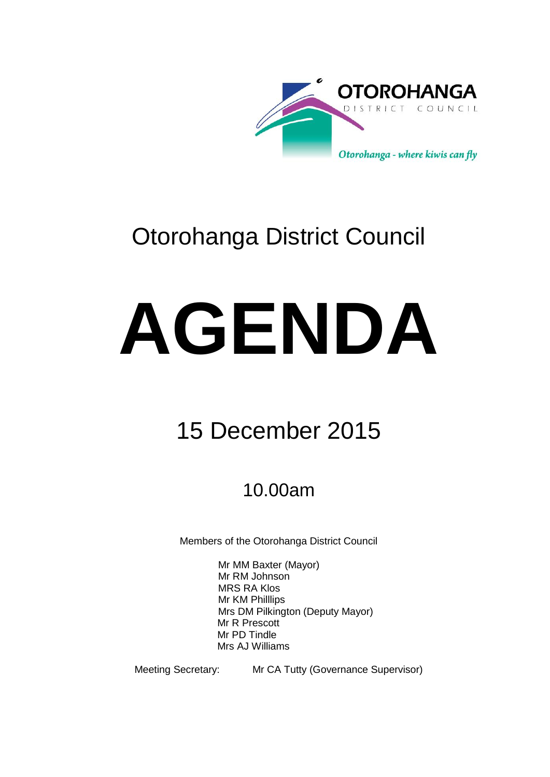

## Otorohanga District Council

## **AGENDA**

## 15 December 2015

## 10.00am

Members of the Otorohanga District Council

Mr MM Baxter (Mayor) Mr RM Johnson MRS RA Klos Mr KM Philllips Mrs DM Pilkington (Deputy Mayor) Mr R Prescott Mr PD Tindle Mrs AJ Williams

Meeting Secretary: Mr CA Tutty (Governance Supervisor)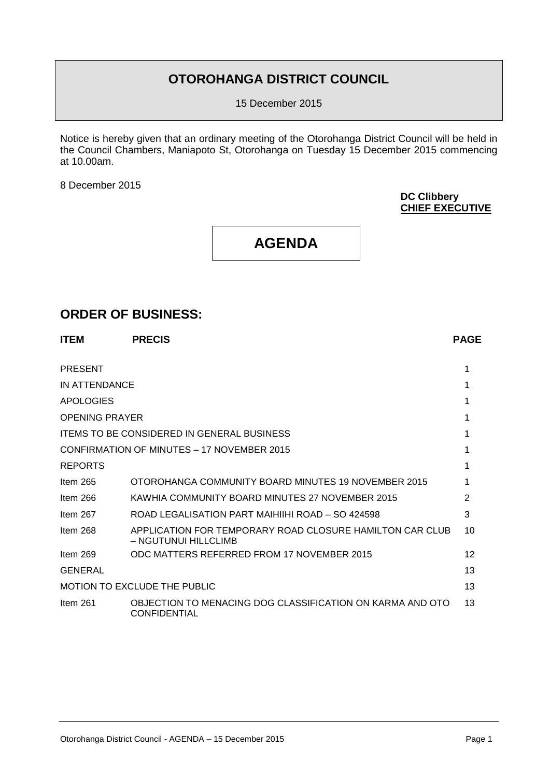### **OTOROHANGA DISTRICT COUNCIL**

15 December 2015

Notice is hereby given that an ordinary meeting of the Otorohanga District Council will be held in the Council Chambers, Maniapoto St, Otorohanga on Tuesday 15 December 2015 commencing at 10.00am.

8 December 2015

**DC Clibbery CHIEF EXECUTIVE**

### **AGENDA**

### **ORDER OF BUSINESS:**

| <b>ITEM</b>           | <b>PRECIS</b>                                                                    | <b>PAGE</b> |
|-----------------------|----------------------------------------------------------------------------------|-------------|
| <b>PRESENT</b>        |                                                                                  |             |
| IN ATTENDANCE         |                                                                                  |             |
| APOLOGIES             |                                                                                  |             |
| <b>OPENING PRAYER</b> |                                                                                  |             |
|                       | <b>ITEMS TO BE CONSIDERED IN GENERAL BUSINESS</b>                                |             |
|                       | CONFIRMATION OF MINUTES - 17 NOVEMBER 2015                                       |             |
| <b>REPORTS</b>        |                                                                                  |             |
| Item $265$            | OTOROHANGA COMMUNITY BOARD MINUTES 19 NOVEMBER 2015                              |             |
| Item 266              | KAWHIA COMMUNITY BOARD MINUTES 27 NOVEMBER 2015                                  | 2           |
| Item 267              | ROAD LEGALISATION PART MAIHIIHI ROAD - SO 424598                                 | 3           |
| Item 268              | APPLICATION FOR TEMPORARY ROAD CLOSURE HAMILTON CAR CLUB<br>– NGUTUNUI HILLCLIMB | 10          |
| Item $269$            | ODC MATTERS REFERRED FROM 17 NOVEMBER 2015                                       | 12          |
| <b>GENERAL</b>        |                                                                                  | 13          |
|                       | MOTION TO EXCLUDE THE PUBLIC                                                     | 13          |
| Item $261$            | OBJECTION TO MENACING DOG CLASSIFICATION ON KARMA AND OTO<br><b>CONFIDENTIAL</b> | 13          |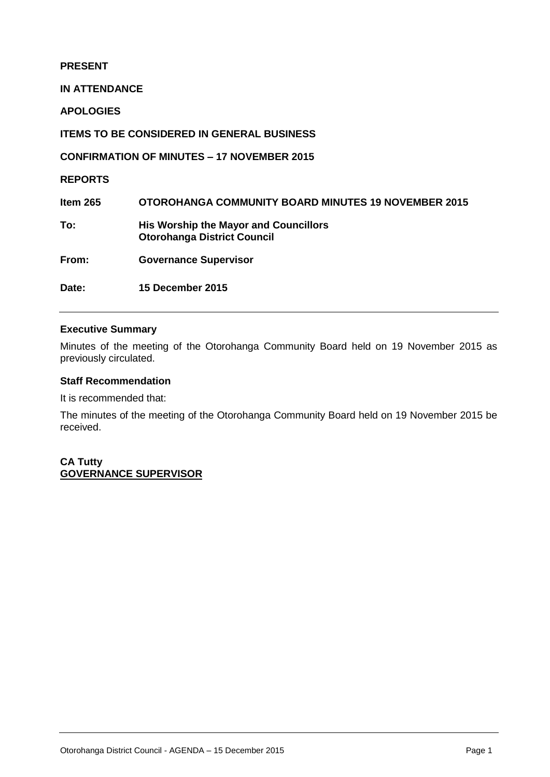### **PRESENT**

**IN ATTENDANCE**

**APOLOGIES**

**ITEMS TO BE CONSIDERED IN GENERAL BUSINESS**

**CONFIRMATION OF MINUTES – 17 NOVEMBER 2015**

**REPORTS**

**Item 265 OTOROHANGA COMMUNITY BOARD MINUTES 19 NOVEMBER 2015 To: His Worship the Mayor and Councillors Otorohanga District Council**

**From: Governance Supervisor**

**Date: 15 December 2015** 

### **Executive Summary**

Minutes of the meeting of the Otorohanga Community Board held on 19 November 2015 as previously circulated.

### **Staff Recommendation**

It is recommended that:

The minutes of the meeting of the Otorohanga Community Board held on 19 November 2015 be received.

**CA Tutty GOVERNANCE SUPERVISOR**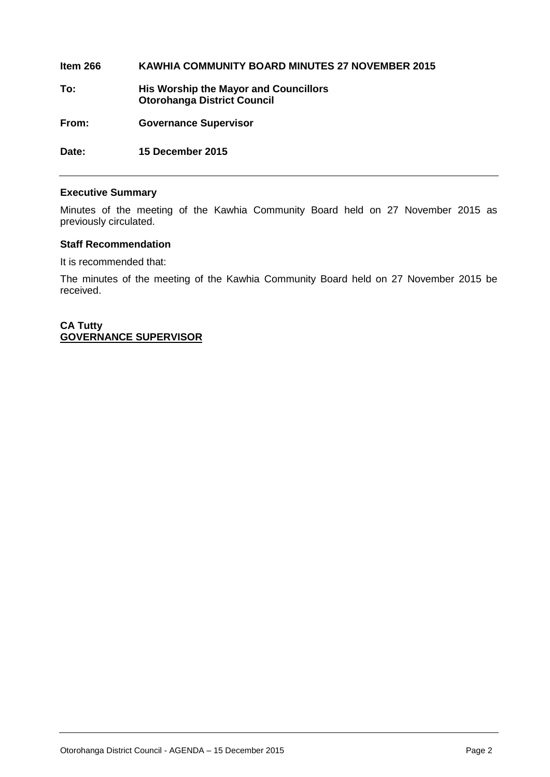**Item 266 KAWHIA COMMUNITY BOARD MINUTES 27 NOVEMBER 2015 To: His Worship the Mayor and Councillors Otorohanga District Council From: Governance Supervisor Date: 15 December 2015** 

### **Executive Summary**

Minutes of the meeting of the Kawhia Community Board held on 27 November 2015 as previously circulated.

### **Staff Recommendation**

It is recommended that:

The minutes of the meeting of the Kawhia Community Board held on 27 November 2015 be received.

**CA Tutty GOVERNANCE SUPERVISOR**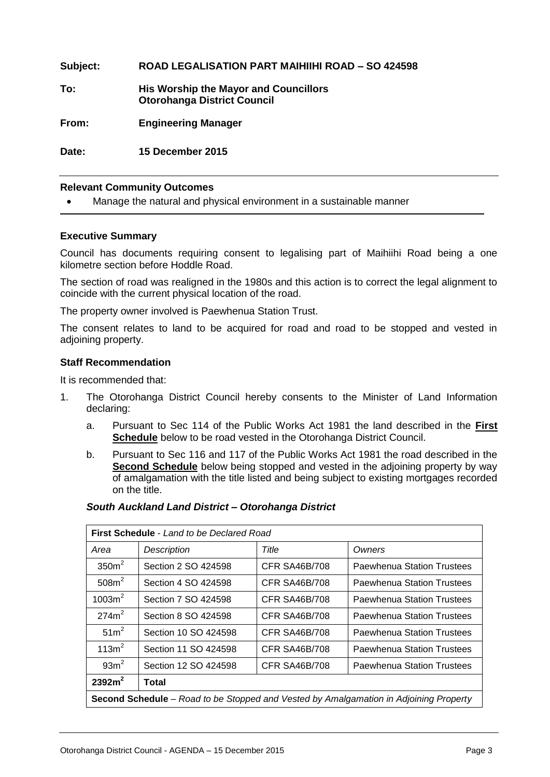**Subject: ROAD LEGALISATION PART MAIHIIHI ROAD – SO 424598 To: His Worship the Mayor and Councillors Otorohanga District Council From: Engineering Manager Date: 15 December 2015**

### **Relevant Community Outcomes**

Manage the natural and physical environment in a sustainable manner

### **Executive Summary**

Council has documents requiring consent to legalising part of Maihiihi Road being a one kilometre section before Hoddle Road.

The section of road was realigned in the 1980s and this action is to correct the legal alignment to coincide with the current physical location of the road.

The property owner involved is Paewhenua Station Trust.

The consent relates to land to be acquired for road and road to be stopped and vested in adjoining property.

### **Staff Recommendation**

It is recommended that:

- 1. The Otorohanga District Council hereby consents to the Minister of Land Information declaring:
	- a. Pursuant to Sec 114 of the Public Works Act 1981 the land described in the **First Schedule** below to be road vested in the Otorohanga District Council.
	- b. Pursuant to Sec 116 and 117 of the Public Works Act 1981 the road described in the **Second Schedule** below being stopped and vested in the adjoining property by way of amalgamation with the title listed and being subject to existing mortgages recorded on the title.

| <b>First Schedule - Land to be Declared Road</b>                                             |                      |                      |                                   |  |  |
|----------------------------------------------------------------------------------------------|----------------------|----------------------|-----------------------------------|--|--|
| Area                                                                                         | Description          | Title                | Owners                            |  |  |
| 350 <sup>2</sup>                                                                             | Section 2 SO 424598  | <b>CFR SA46B/708</b> | <b>Paewhenua Station Trustees</b> |  |  |
| 508m <sup>2</sup>                                                                            | Section 4 SO 424598  | <b>CFR SA46B/708</b> | <b>Paewhenua Station Trustees</b> |  |  |
| $1003m^2$                                                                                    | Section 7 SO 424598  | CFR SA46B/708        | <b>Paewhenua Station Trustees</b> |  |  |
| 274m <sup>2</sup>                                                                            | Section 8 SO 424598  | <b>CFR SA46B/708</b> | Paewhenua Station Trustees        |  |  |
| 51 <sup>2</sup>                                                                              | Section 10 SO 424598 | <b>CFR SA46B/708</b> | <b>Paewhenua Station Trustees</b> |  |  |
| 113m <sup>2</sup>                                                                            | Section 11 SO 424598 | <b>CFR SA46B/708</b> | <b>Paewhenua Station Trustees</b> |  |  |
| 93m <sup>2</sup>                                                                             | Section 12 SO 424598 | <b>CFR SA46B/708</b> | <b>Paewhenua Station Trustees</b> |  |  |
| 2392m <sup>2</sup><br>Total                                                                  |                      |                      |                                   |  |  |
| <b>Second Schedule</b> – Road to be Stopped and Vested by Amalgamation in Adjoining Property |                      |                      |                                   |  |  |

### *South Auckland Land District – Otorohanga District*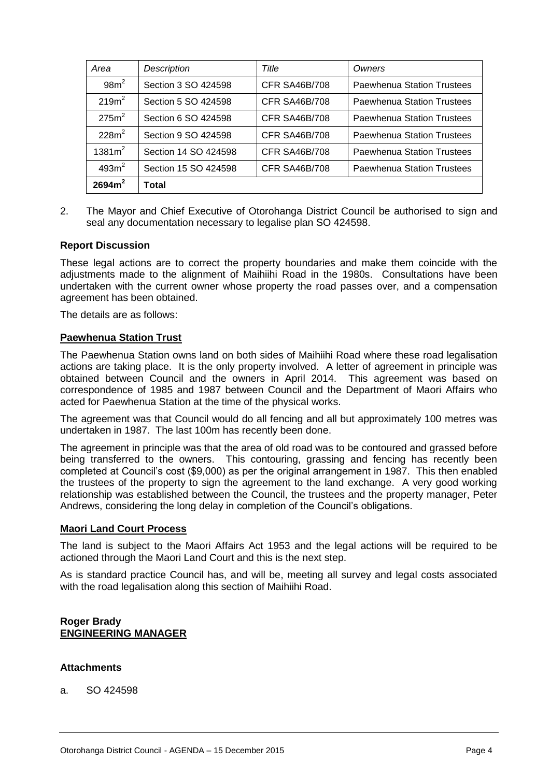| Area               | Description          | Title                | Owners                            |
|--------------------|----------------------|----------------------|-----------------------------------|
| $98m^2$            | Section 3 SO 424598  | <b>CFR SA46B/708</b> | <b>Paewhenua Station Trustees</b> |
| 219m <sup>2</sup>  | Section 5 SO 424598  | <b>CFR SA46B/708</b> | <b>Paewhenua Station Trustees</b> |
| 275m <sup>2</sup>  | Section 6 SO 424598  | <b>CFR SA46B/708</b> | <b>Paewhenua Station Trustees</b> |
| 228m <sup>2</sup>  | Section 9 SO 424598  | <b>CFR SA46B/708</b> | Paewhenua Station Trustees        |
| 1381m <sup>2</sup> | Section 14 SO 424598 | <b>CFR SA46B/708</b> | <b>Paewhenua Station Trustees</b> |
| 493m <sup>2</sup>  | Section 15 SO 424598 | <b>CFR SA46B/708</b> | <b>Paewhenua Station Trustees</b> |
| 2694m <sup>2</sup> | Total                |                      |                                   |

2. The Mayor and Chief Executive of Otorohanga District Council be authorised to sign and seal any documentation necessary to legalise plan SO 424598.

### **Report Discussion**

These legal actions are to correct the property boundaries and make them coincide with the adjustments made to the alignment of Maihiihi Road in the 1980s. Consultations have been undertaken with the current owner whose property the road passes over, and a compensation agreement has been obtained.

The details are as follows:

### **Paewhenua Station Trust**

The Paewhenua Station owns land on both sides of Maihiihi Road where these road legalisation actions are taking place. It is the only property involved. A letter of agreement in principle was obtained between Council and the owners in April 2014. This agreement was based on correspondence of 1985 and 1987 between Council and the Department of Maori Affairs who acted for Paewhenua Station at the time of the physical works.

The agreement was that Council would do all fencing and all but approximately 100 metres was undertaken in 1987. The last 100m has recently been done.

The agreement in principle was that the area of old road was to be contoured and grassed before being transferred to the owners. This contouring, grassing and fencing has recently been completed at Council's cost (\$9,000) as per the original arrangement in 1987. This then enabled the trustees of the property to sign the agreement to the land exchange. A very good working relationship was established between the Council, the trustees and the property manager, Peter Andrews, considering the long delay in completion of the Council's obligations.

### **Maori Land Court Process**

The land is subject to the Maori Affairs Act 1953 and the legal actions will be required to be actioned through the Maori Land Court and this is the next step.

As is standard practice Council has, and will be, meeting all survey and legal costs associated with the road legalisation along this section of Maihiihi Road.

### **Roger Brady ENGINEERING MANAGER**

### **Attachments**

a. SO 424598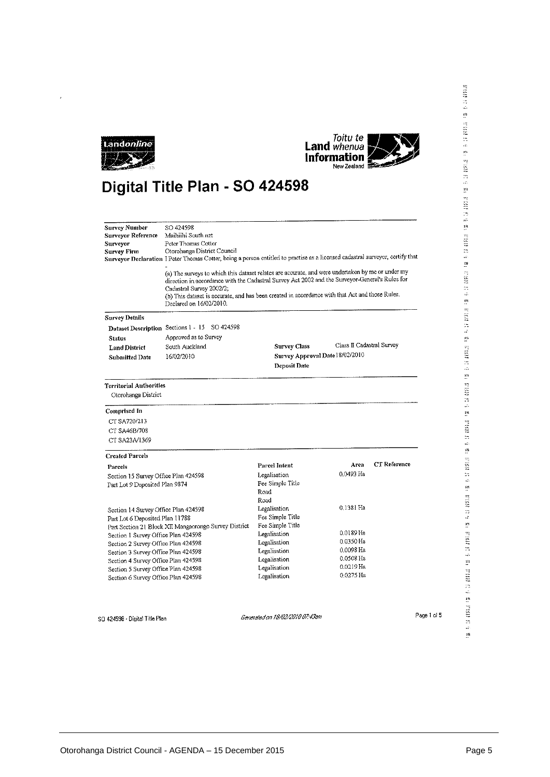



### Digital Title Plan - SO 424598

| Survey Number<br>Surveyor Reference<br>Surveyor<br>Survey Firm | SO 424598<br>Mathiihi South.nzt<br>Peter Thomas Cotter<br>Otorohanga District Council<br>Surveyor Declaration I Peter Thomas Cotter, being a person entitled to practise as a licensed cadastral surveyor, certify that<br>(a) The surveys to which this dataset relates are accurate, and were undertaken by me or under my<br>direction in accordance with the Cadastral Survey Act 2002 and the Surveyor-General's Rules for<br>Cadastral Survey 2002/2;<br>(b) This dataset is accurate, and has been created in accordance with that Act and those Rules.<br>Declared on 16/02/2010. |                                 |                           |              |
|----------------------------------------------------------------|-------------------------------------------------------------------------------------------------------------------------------------------------------------------------------------------------------------------------------------------------------------------------------------------------------------------------------------------------------------------------------------------------------------------------------------------------------------------------------------------------------------------------------------------------------------------------------------------|---------------------------------|---------------------------|--------------|
| <b>Survey Details</b>                                          |                                                                                                                                                                                                                                                                                                                                                                                                                                                                                                                                                                                           |                                 |                           |              |
|                                                                | Dataset Description Sections 1 - 15 SO 424598                                                                                                                                                                                                                                                                                                                                                                                                                                                                                                                                             |                                 |                           |              |
| Status                                                         | Approved as to Survey                                                                                                                                                                                                                                                                                                                                                                                                                                                                                                                                                                     |                                 |                           |              |
| <b>Land District</b>                                           | South Auckland                                                                                                                                                                                                                                                                                                                                                                                                                                                                                                                                                                            | <b>Survey Class</b>             | Class II Cadastral Survey |              |
| <b>Submitted Date</b>                                          | 16/02/2010                                                                                                                                                                                                                                                                                                                                                                                                                                                                                                                                                                                | Survey Approval Date 18/02/2010 |                           |              |
|                                                                |                                                                                                                                                                                                                                                                                                                                                                                                                                                                                                                                                                                           | Deposit Date                    |                           |              |
| Territorial Authorities                                        |                                                                                                                                                                                                                                                                                                                                                                                                                                                                                                                                                                                           |                                 |                           |              |
| Otorohanga District                                            |                                                                                                                                                                                                                                                                                                                                                                                                                                                                                                                                                                                           |                                 |                           |              |
| Comprised In                                                   |                                                                                                                                                                                                                                                                                                                                                                                                                                                                                                                                                                                           |                                 |                           |              |
| CT SA720/213                                                   |                                                                                                                                                                                                                                                                                                                                                                                                                                                                                                                                                                                           |                                 |                           |              |
| CT SA46B/708                                                   |                                                                                                                                                                                                                                                                                                                                                                                                                                                                                                                                                                                           |                                 |                           |              |
| CT SA23A/1369                                                  |                                                                                                                                                                                                                                                                                                                                                                                                                                                                                                                                                                                           |                                 |                           |              |
| <b>Created Parcels</b>                                         |                                                                                                                                                                                                                                                                                                                                                                                                                                                                                                                                                                                           |                                 |                           |              |
| Parcels                                                        |                                                                                                                                                                                                                                                                                                                                                                                                                                                                                                                                                                                           | Parcel Intent                   | Arca                      | CT Reference |
| Section 15 Survey Office Plan 424598                           |                                                                                                                                                                                                                                                                                                                                                                                                                                                                                                                                                                                           | Legalisation                    | 0.0493 Ha                 |              |
| Part Lot 9 Deposited Plan 9874                                 |                                                                                                                                                                                                                                                                                                                                                                                                                                                                                                                                                                                           | Fee Simple Title                |                           |              |
|                                                                |                                                                                                                                                                                                                                                                                                                                                                                                                                                                                                                                                                                           | Road                            |                           |              |
|                                                                |                                                                                                                                                                                                                                                                                                                                                                                                                                                                                                                                                                                           | Road                            |                           |              |
| Section 14 Survey Office Plan 424598                           |                                                                                                                                                                                                                                                                                                                                                                                                                                                                                                                                                                                           | Legalisation                    | 0.1381 Ha                 |              |
| Part Lot 6 Deposited Plan 11788                                |                                                                                                                                                                                                                                                                                                                                                                                                                                                                                                                                                                                           | Fee Simple Title                |                           |              |
|                                                                | Part Section 21 Block XII Mangaorongo Survey District                                                                                                                                                                                                                                                                                                                                                                                                                                                                                                                                     | Fee Simple Title                | 0.0189 Ha                 |              |
| Section 1 Survey Office Plan 424598                            |                                                                                                                                                                                                                                                                                                                                                                                                                                                                                                                                                                                           | Legalisation                    | 0.0350 Ha                 |              |
| Section 2 Survey Office Plan 424598                            |                                                                                                                                                                                                                                                                                                                                                                                                                                                                                                                                                                                           | Legalisation                    | 0.0098 Ha                 |              |
| Section 3 Survey Office Plan 424598                            |                                                                                                                                                                                                                                                                                                                                                                                                                                                                                                                                                                                           | Legalisation<br>Legalisation    | 0.0508 Ha                 |              |
| Section 4 Survey Office Plan 424598                            |                                                                                                                                                                                                                                                                                                                                                                                                                                                                                                                                                                                           | Legalisation                    | 0.0219 Ha                 |              |
| Section 5 Survey Office Plan 424598                            |                                                                                                                                                                                                                                                                                                                                                                                                                                                                                                                                                                                           | Legalisation                    | 0.0275 Ha                 |              |
| Section 6 Survey Office Plan 424598                            |                                                                                                                                                                                                                                                                                                                                                                                                                                                                                                                                                                                           |                                 |                           |              |
|                                                                |                                                                                                                                                                                                                                                                                                                                                                                                                                                                                                                                                                                           |                                 |                           |              |

 ${\tt S0}$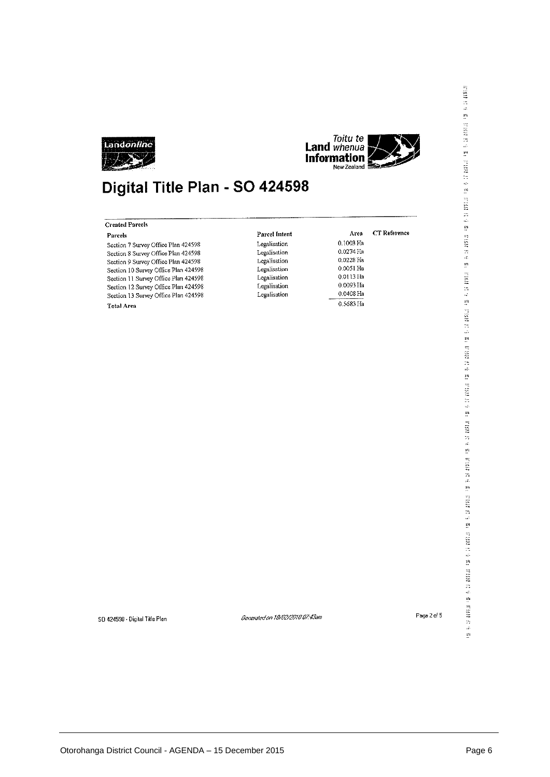



### Digital Title Plan - SO 424598

| Parcels                              | Parcel Intent | Area        | CT Reference |
|--------------------------------------|---------------|-------------|--------------|
| Section 7 Survey Office Plan 424598  | Legalisation  | 0.1003 Ha   |              |
| Section 8 Survey Office Plan 424598  | Legalisation  | $0.0274$ Ha |              |
| Section 9 Survey Office Plan 424598  | Legalisation  | 0.0228 Ha   |              |
| Section 10 Survey Office Plan 424598 | Legalisation  | $0.0051$ Ha |              |
| Section 11 Survey Office Plan 424598 | Legalisation  | 0.0113 Ha   |              |
| Section 12 Survey Office Plan 424598 | Legalisation  | 0.0093 Ha   |              |
| Section 13 Survey Office Plan 424598 | Legalisation  | 0.0408 Ha   |              |
| Total Area                           |               | 0.5683 Ha   |              |

SD 424598 - Digital Title Plan

Generated on 18/02/2010 07:43am

Page 2 of 5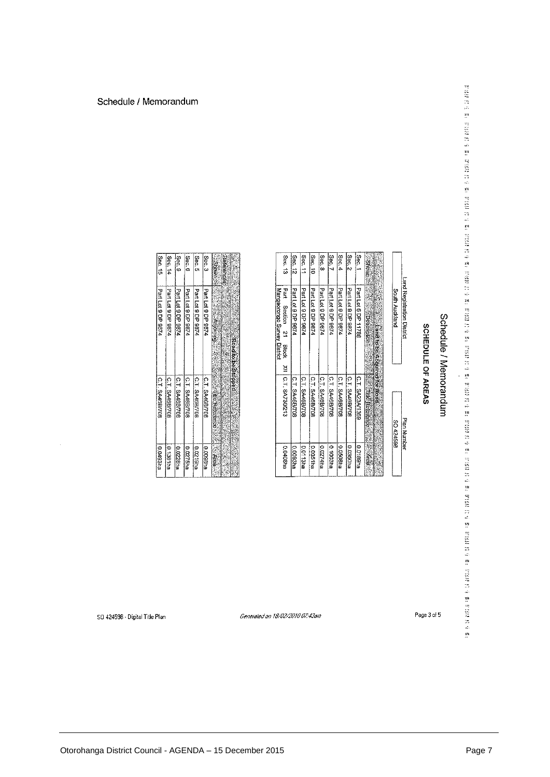# Schedule / Memorandum

## SCHEDULE OF AREAS

|          | Land Registration District                                       | <b>Plan Number</b>          |                 |
|----------|------------------------------------------------------------------|-----------------------------|-----------------|
|          | South Austand                                                    | <b>BSSASS OS</b>            |                 |
|          |                                                                  |                             |                 |
|          | Eard to be Acquired for Road                                     |                             |                 |
| Shown %  | <b>Website</b><br><b>Experience</b>                              | <b>ANGELIA DE REGISTERE</b> | X. PR           |
| Sec. 1   | Part Lot 6 DP 11788                                              | C.T. SA23A/1389             | <b>BIL88ILG</b> |
| Sec. 2   | Part Lot 9 DP 9874                                               | C.T. SA46B/708              | D.0350ha        |
| Sec. $4$ | Part Lot 9 DP 9874                                               | C.T. SA46B/708              | D.0508ha        |
| Sec. 7   | Partic 9DP 9874                                                  | C.T. SA46BJ708              | 6100319         |
| Sec.8    | Part Lot 9 DP 9874                                               | C.T. SA46B/708              | 0.0274ha        |
| Sec. 10  | Part Lot 9 DP 9874                                               | C.T. SA46B/708              | 0.0051ha        |
| Sec. 11  | Part Lot 9 DP 9874                                               | C.T. SA46B/708              | <b>BUS1131</b>  |
| Sec. 12  | Part Lot 9 DP 9874                                               | C.T. SA46B/708              | 0.0093ha        |
| Sec. 13  | he4<br>Mangaorongo Survey District<br><b>Section</b><br>21 Block | 211 C.T. SA730212           | <b>0.0408ha</b> |
|          |                                                                  |                             |                 |

Generated on 18/02/2010 07:43am

eres.

| Sec. 15            | Sec. 14            | es. 9              | Sec.6              | Sec. 5             | Sec. 3             | <b>Silboxer</b> | References |                |
|--------------------|--------------------|--------------------|--------------------|--------------------|--------------------|-----------------|------------|----------------|
| Part Lot 9 DP 9874 | Part Lot 9 DP 9874 | Part Lot 9 DP 9874 | Part Lot 9 DP 9874 | Part Lot 9 DP 9874 | Part Lot 9 DP 9874 | <b>AQIDE</b>    |            | Road bestopped |
| C.T. SA46B/708     | C.T. SA46B7708     | C.T. SA46BI708     | C.T. SA46B/708     | C.T. SA46B/708     | C.T. SA46B/708     | file Reference  |            |                |
| 0.0493na           | 0.13811a           | <b>D.0228ha</b>    | D.0275ha           | <b>P461Z00</b>     | eu3600'0           | Area.           |            |                |

SD 424598 - Digital Title Plan

 $\bar{\beta}$ 

Page 3 of 5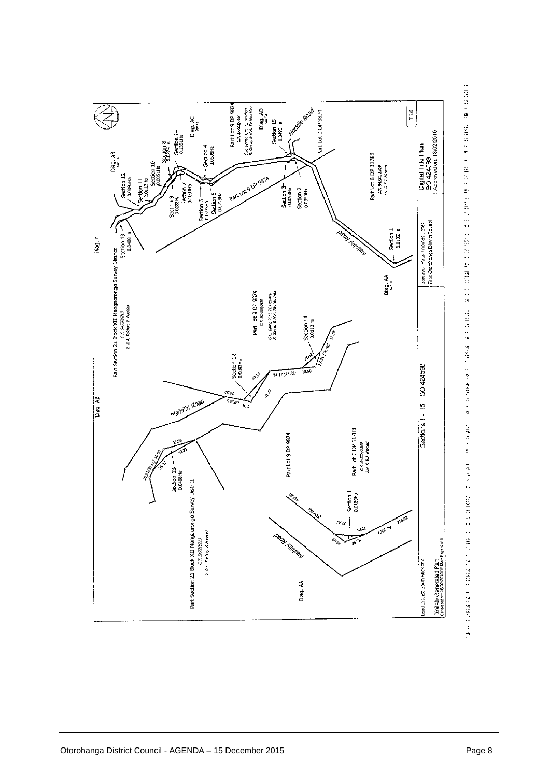

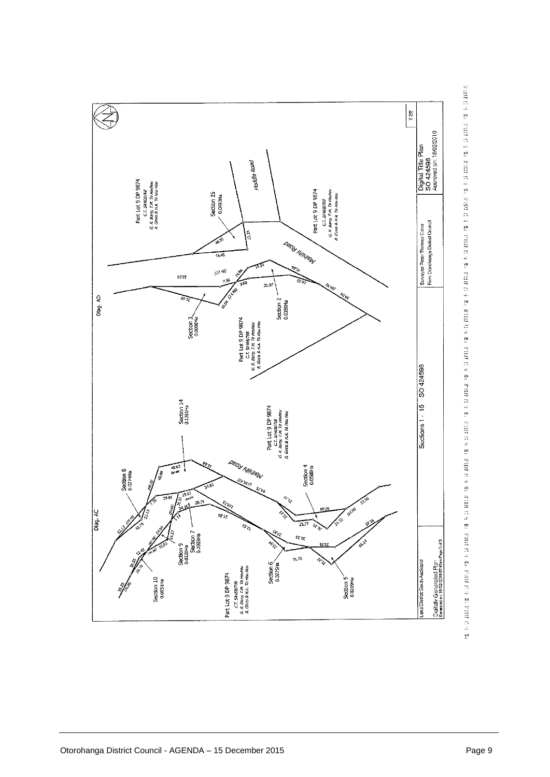

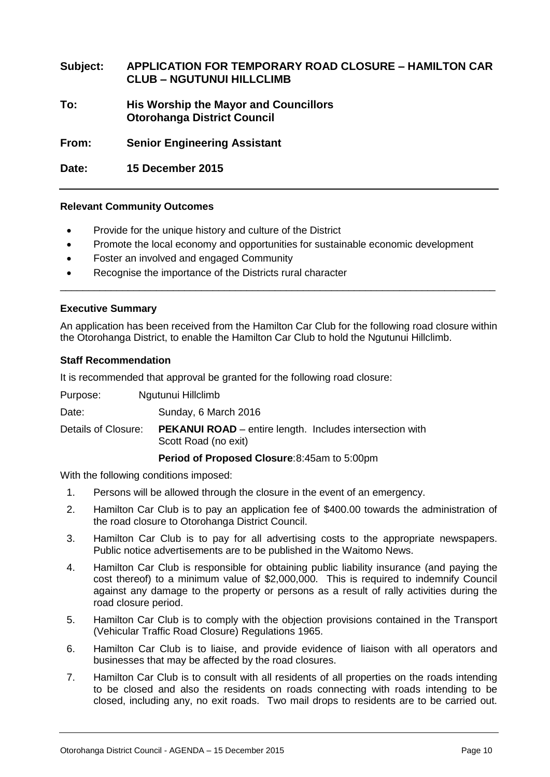### **Subject: APPLICATION FOR TEMPORARY ROAD CLOSURE – HAMILTON CAR CLUB – NGUTUNUI HILLCLIMB**

**To: His Worship the Mayor and Councillors Otorohanga District Council**

**From: Senior Engineering Assistant**

**Date: 15 December 2015**

### **Relevant Community Outcomes**

- Provide for the unique history and culture of the District
- Promote the local economy and opportunities for sustainable economic development
- Foster an involved and engaged Community
- Recognise the importance of the Districts rural character

### **Executive Summary**

An application has been received from the Hamilton Car Club for the following road closure within the Otorohanga District, to enable the Hamilton Car Club to hold the Ngutunui Hillclimb.

\_\_\_\_\_\_\_\_\_\_\_\_\_\_\_\_\_\_\_\_\_\_\_\_\_\_\_\_\_\_\_\_\_\_\_\_\_\_\_\_\_\_\_\_\_\_\_\_\_\_\_\_\_\_\_\_\_\_\_\_\_\_\_\_\_\_\_\_\_\_\_\_\_\_\_\_\_

### **Staff Recommendation**

It is recommended that approval be granted for the following road closure:

Purpose: Ngutunui Hillclimb

Date: Sunday, 6 March 2016

Details of Closure: **PEKANUI ROAD** – entire length. Includes intersection with Scott Road (no exit)

### **Period of Proposed Closure**:8:45am to 5:00pm

With the following conditions imposed:

- 1. Persons will be allowed through the closure in the event of an emergency.
- 2. Hamilton Car Club is to pay an application fee of \$400.00 towards the administration of the road closure to Otorohanga District Council.
- 3. Hamilton Car Club is to pay for all advertising costs to the appropriate newspapers. Public notice advertisements are to be published in the Waitomo News.
- 4. Hamilton Car Club is responsible for obtaining public liability insurance (and paying the cost thereof) to a minimum value of \$2,000,000. This is required to indemnify Council against any damage to the property or persons as a result of rally activities during the road closure period.
- 5. Hamilton Car Club is to comply with the objection provisions contained in the Transport (Vehicular Traffic Road Closure) Regulations 1965.
- 6. Hamilton Car Club is to liaise, and provide evidence of liaison with all operators and businesses that may be affected by the road closures.
- 7. Hamilton Car Club is to consult with all residents of all properties on the roads intending to be closed and also the residents on roads connecting with roads intending to be closed, including any, no exit roads. Two mail drops to residents are to be carried out.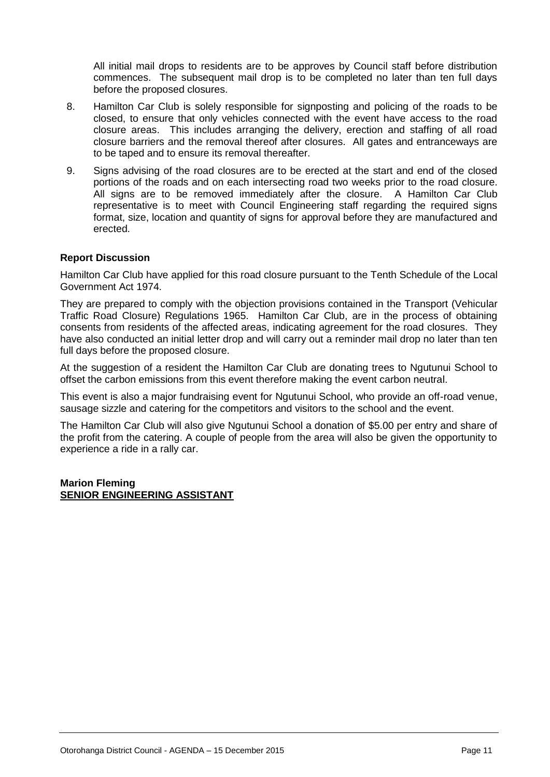All initial mail drops to residents are to be approves by Council staff before distribution commences. The subsequent mail drop is to be completed no later than ten full days before the proposed closures.

- 8. Hamilton Car Club is solely responsible for signposting and policing of the roads to be closed, to ensure that only vehicles connected with the event have access to the road closure areas. This includes arranging the delivery, erection and staffing of all road closure barriers and the removal thereof after closures. All gates and entranceways are to be taped and to ensure its removal thereafter.
- 9. Signs advising of the road closures are to be erected at the start and end of the closed portions of the roads and on each intersecting road two weeks prior to the road closure. All signs are to be removed immediately after the closure. A Hamilton Car Club representative is to meet with Council Engineering staff regarding the required signs format, size, location and quantity of signs for approval before they are manufactured and erected.

### **Report Discussion**

Hamilton Car Club have applied for this road closure pursuant to the Tenth Schedule of the Local Government Act 1974.

They are prepared to comply with the objection provisions contained in the Transport (Vehicular Traffic Road Closure) Regulations 1965. Hamilton Car Club, are in the process of obtaining consents from residents of the affected areas, indicating agreement for the road closures. They have also conducted an initial letter drop and will carry out a reminder mail drop no later than ten full days before the proposed closure.

At the suggestion of a resident the Hamilton Car Club are donating trees to Ngutunui School to offset the carbon emissions from this event therefore making the event carbon neutral.

This event is also a major fundraising event for Ngutunui School, who provide an off-road venue, sausage sizzle and catering for the competitors and visitors to the school and the event.

The Hamilton Car Club will also give Ngutunui School a donation of \$5.00 per entry and share of the profit from the catering. A couple of people from the area will also be given the opportunity to experience a ride in a rally car.

### **Marion Fleming SENIOR ENGINEERING ASSISTANT**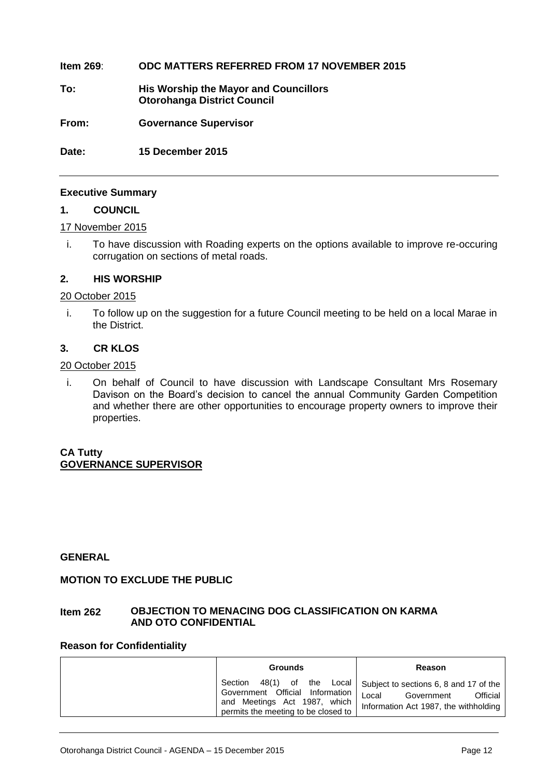### **Item 269**: **ODC MATTERS REFERRED FROM 17 NOVEMBER 2015**

**To: His Worship the Mayor and Councillors Otorohanga District Council**

**From: Governance Supervisor**

**Date: 15 December 2015** 

### **Executive Summary**

#### **1. COUNCIL**

### 17 November 2015

i. To have discussion with Roading experts on the options available to improve re-occuring corrugation on sections of metal roads.

### **2. HIS WORSHIP**

### 20 October 2015

i. To follow up on the suggestion for a future Council meeting to be held on a local Marae in the District.

### **3. CR KLOS**

### 20 October 2015

i. On behalf of Council to have discussion with Landscape Consultant Mrs Rosemary Davison on the Board's decision to cancel the annual Community Garden Competition and whether there are other opportunities to encourage property owners to improve their properties.

### **CA Tutty GOVERNANCE SUPERVISOR**

### **GENERAL**

### **MOTION TO EXCLUDE THE PUBLIC**

### **Item 262 OBJECTION TO MENACING DOG CLASSIFICATION ON KARMA AND OTO CONFIDENTIAL**

### **Reason for Confidentiality**

| <b>Grounds</b>                                                                                                                            | Reason                                                                                                             |
|-------------------------------------------------------------------------------------------------------------------------------------------|--------------------------------------------------------------------------------------------------------------------|
| 48(1) of the Local<br>Section<br>Government Official Information  <br>and Meetings Act 1987, which<br>permits the meeting to be closed to | Subject to sections 6, 8 and 17 of the<br>Local<br>Official<br>Government<br>Information Act 1987, the withholding |